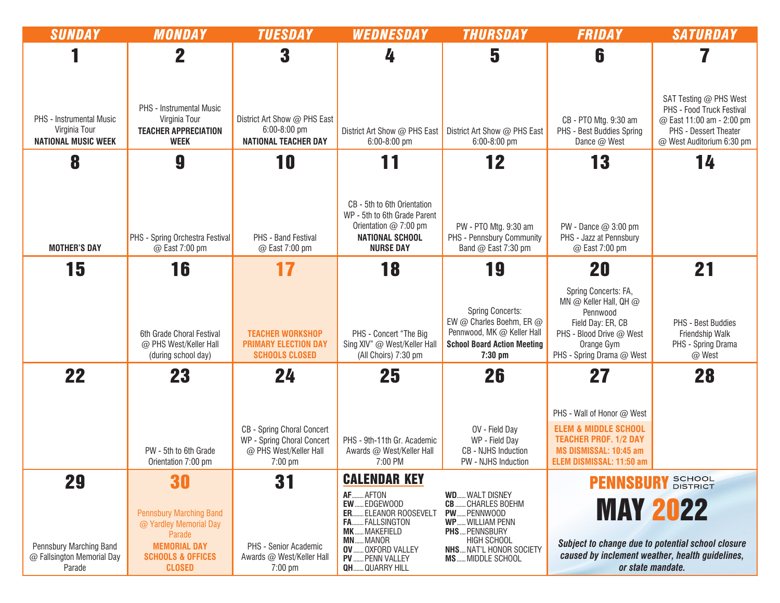| <b>SUNDAY</b>                                                           | <b>MONDAY</b>                                                                                                                              | <b>TUESDAY</b>                                                                                         | WEDNESDAY                                                                                                                                                                                 | <b>THURSDAY</b>                                                                                                                                                              | FRIDAY                                                                                                                                                 | <b>SATURDAY</b>                                                                                                                        |
|-------------------------------------------------------------------------|--------------------------------------------------------------------------------------------------------------------------------------------|--------------------------------------------------------------------------------------------------------|-------------------------------------------------------------------------------------------------------------------------------------------------------------------------------------------|------------------------------------------------------------------------------------------------------------------------------------------------------------------------------|--------------------------------------------------------------------------------------------------------------------------------------------------------|----------------------------------------------------------------------------------------------------------------------------------------|
|                                                                         | $\mathbf 2$                                                                                                                                | 3                                                                                                      | 4                                                                                                                                                                                         | 5                                                                                                                                                                            | 6                                                                                                                                                      |                                                                                                                                        |
| PHS - Instrumental Music<br>Virginia Tour<br><b>NATIONAL MUSIC WEEK</b> | PHS - Instrumental Music<br>Virginia Tour<br><b>TEACHER APPRECIATION</b><br><b>WEEK</b>                                                    | District Art Show @ PHS East<br>6:00-8:00 pm<br><b>NATIONAL TEACHER DAY</b>                            | District Art Show @ PHS East<br>6:00-8:00 pm                                                                                                                                              | District Art Show @ PHS East<br>6:00-8:00 pm                                                                                                                                 | CB - PTO Mtg. 9:30 am<br>PHS - Best Buddies Spring<br>Dance @ West                                                                                     | SAT Testing @ PHS West<br>PHS - Food Truck Festival<br>@ East 11:00 am - 2:00 pm<br>PHS - Dessert Theater<br>@ West Auditorium 6:30 pm |
| 8                                                                       | 9                                                                                                                                          | 10                                                                                                     | 11                                                                                                                                                                                        | 12                                                                                                                                                                           | 13                                                                                                                                                     | 14                                                                                                                                     |
| <b>MOTHER'S DAY</b>                                                     | PHS - Spring Orchestra Festival<br>@ East 7:00 pm                                                                                          | PHS - Band Festival<br>@ East 7:00 pm                                                                  | CB - 5th to 6th Orientation<br>WP - 5th to 6th Grade Parent<br>Orientation @ 7:00 pm<br><b>NATIONAL SCHOOL</b><br><b>NURSE DAY</b>                                                        | PW - PTO Mtg. 9:30 am<br>PHS - Pennsbury Community<br>Band @ East 7:30 pm                                                                                                    | PW - Dance @ 3:00 pm<br>PHS - Jazz at Pennsbury<br>@ East 7:00 pm                                                                                      |                                                                                                                                        |
| 15                                                                      | 16                                                                                                                                         | 17                                                                                                     | 18                                                                                                                                                                                        | 19                                                                                                                                                                           | 20                                                                                                                                                     | 21                                                                                                                                     |
|                                                                         | 6th Grade Choral Festival<br>@ PHS West/Keller Hall<br>(during school day)                                                                 | <b>TEACHER WORKSHOP</b><br><b>PRIMARY ELECTION DAY</b><br><b>SCHOOLS CLOSED</b>                        | PHS - Concert "The Big<br>Sing XIV" @ West/Keller Hall<br>(All Choirs) 7:30 pm                                                                                                            | <b>Spring Concerts:</b><br>EW @ Charles Boehm, ER @<br>Pennwood, MK @ Keller Hall<br><b>School Board Action Meeting</b><br>$7:30$ pm                                         | Spring Concerts: FA,<br>MN @ Keller Hall, QH @<br>Pennwood<br>Field Day: ER, CB<br>PHS - Blood Drive @ West<br>Orange Gym<br>PHS - Spring Drama @ West | PHS - Best Buddies<br>Friendship Walk<br>PHS - Spring Drama<br>@ West                                                                  |
| 22                                                                      | 23                                                                                                                                         | 24                                                                                                     | 25                                                                                                                                                                                        | 26                                                                                                                                                                           | 27                                                                                                                                                     | 28                                                                                                                                     |
|                                                                         | PW - 5th to 6th Grade<br>Orientation 7:00 pm                                                                                               | <b>CB - Spring Choral Concert</b><br>WP - Spring Choral Concert<br>@ PHS West/Keller Hall<br>$7:00$ pm | PHS - 9th-11th Gr. Academic<br>Awards @ West/Keller Hall<br>7:00 PM                                                                                                                       | OV - Field Day<br>WP - Field Day<br>CB - NJHS Induction<br>PW - NJHS Induction                                                                                               | PHS - Wall of Honor @ West<br><b>ELEM &amp; MIDDLE SCHOOL</b><br><b>TEACHER PROF. 1/2 DAY</b><br>MS DISMISSAL: 10:45 am<br>ELEM DISMISSAL: 11:50 am    |                                                                                                                                        |
| 29                                                                      | 30                                                                                                                                         | 31                                                                                                     | <b>CALENDAR KEY</b>                                                                                                                                                                       |                                                                                                                                                                              | SCHOOL<br>DISTRICT<br><b>PENNSBU</b>                                                                                                                   |                                                                                                                                        |
| Pennsbury Marching Band<br>@ Fallsington Memorial Day<br>Parade         | <b>Pennsbury Marching Band</b><br>@ Yardley Memorial Day<br>Parade<br><b>MEMORIAL DAY</b><br><b>SCHOOLS &amp; OFFICES</b><br><b>CLOSED</b> | PHS - Senior Academic<br>Awards @ West/Keller Hall<br>$7:00$ pm                                        | AF AFTON<br>EW EDGEWOOD<br>. ELEANOR ROOSEVELT<br>ER.<br>FA FALLSINGTON<br><b>MK</b> MAKEFIELD<br><b>MN MANOR</b><br><b>OV  OXFORD VALLEY</b><br>PV  PENN VALLEY<br><b>QH QUARRY HILL</b> | <b>WD WALT DISNEY</b><br>CHARLES BOEHM<br>CB<br>PW PENNWOOD<br>WP WILLIAM PENN<br>PHS PENNSBURY<br><b>HIGH SCHOOL</b><br><b>NHS NAT'L HONOR SOCIETY</b><br>MS  MIDDLE SCHOOL | <b>MAY 2022</b><br>Subject to change due to potential school closure<br>caused by inclement weather, health guidelines,<br>or state mandate.           |                                                                                                                                        |